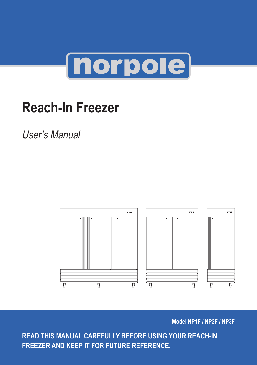

# **Reach-In Freezer**

User's Manual



**Model NP1F / NP2F / NP3F**

**READ THIS MANUAL CAREFULLY BEFORE USING YOUR REACH-IN FREEZER AND KEEP IT FOR FUTURE REFERENCE.**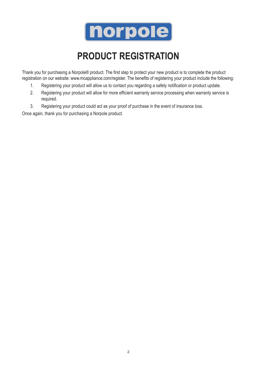

### **Product Registration**

Thank you for purchasing a Norpole® product. The first step to protect your new product is to complete the product registration on our website: www.mcappliance.com/register. The benefits of registering your product include the following:

- 1. Registering your product will allow us to contact you regarding a safety notification or product update.
- 2. Registering your product will allow for more efficient warranty service processing when warranty service is required.
- 3. Registering your product could act as your proof of purchase in the event of insurance loss.

Once again, thank you for purchasing a Norpole product.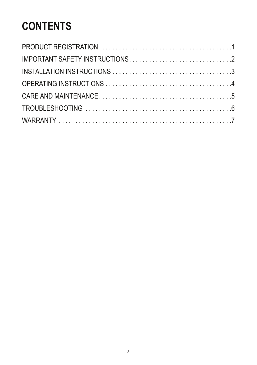### **CONTENTS**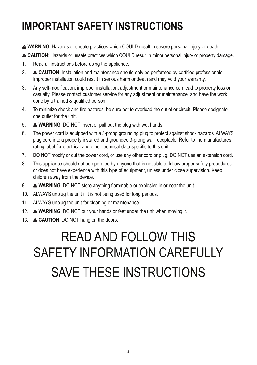### **IMPORTANT SAFETY INSTRUCTIONS**

**WARNING**: Hazards or unsafe practices which COULD result in severe personal injury or death.

**CAUTION**: Hazards or unsafe practices which COULD result in minor personal injury or property damage.

- 1. Read all instructions before using the appliance.
- 2. **A CAUTION:** Installation and maintenance should only be performed by certified professionals. Improper installation could result in serious harm or death and may void your warranty.
- 3. Any self-modification, improper installation, adjustment or maintenance can lead to property loss or casualty. Please contact customer service for any adjustment or maintenance, and have the work done by a trained & qualified person.
- 4. To minimize shock and fire hazards, be sure not to overload the outlet or circuit. Please designate one outlet for the unit.
- 5. **WARNING**: DO NOT insert or pull out the plug with wet hands.
- 6. The power cord is equipped with a 3-prong grounding plug to protect against shock hazards. ALWAYS plug cord into a properly installed and grounded 3-prong wall receptacle. Refer to the manufactures rating label for electrical and other technical data specific to this unit.
- 7. DO NOT modify or cut the power cord, or use any other cord or plug. DO NOT use an extension cord.
- 8. This appliance should not be operated by anyone that is not able to follow proper safety procedures or does not have experience with this type of equipment, unless under close supervision. Keep children away from the device.
- 9. **WARNING**: DO NOT store anything flammable or explosive in or near the unit.
- 10. ALWAYS unplug the unit if it is not being used for long periods.
- 11. ALWAYS unplug the unit for cleaning or maintenance.
- 12. **WARNING**: DO NOT put your hands or feet under the unit when moving it.
- 13. **CAUTION**: DO NOT hang on the doors.

# READ AND FOLLOW THIS SAFETY INFORMATION CAREFULLY SAVE THESE INSTRUCTIONS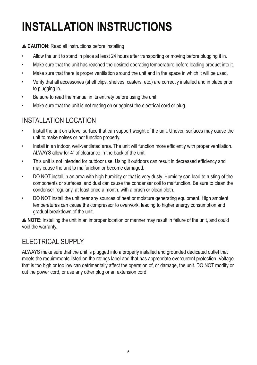# **Installation Instructions**

#### **CAUTION**: Read all instructions before installing

- Allow the unit to stand in place at least 24 hours after transporting or moving before plugging it in.
- Make sure that the unit has reached the desired operating temperature before loading product into it.
- Make sure that there is proper ventilation around the unit and in the space in which it will be used.
- Verify that all accessories (shelf clips, shelves, casters, etc.) are correctly installed and in place prior to plugging in.
- Be sure to read the manual in its entirety before using the unit.
- Make sure that the unit is not resting on or against the electrical cord or plug.

#### INSTALLATION LOCATION

- Install the unit on a level surface that can support weight of the unit. Uneven surfaces may cause the unit to make noises or not function properly.
- Install in an indoor, well-ventilated area. The unit will function more efficiently with proper ventilation. ALWAYS allow for 4" of clearance in the back of the unit.
- This unit is not intended for outdoor use. Using it outdoors can result in decreased efficiency and may cause the unit to malfunction or become damaged.
- DO NOT install in an area with high humidity or that is very dusty. Humidity can lead to rusting of the components or surfaces, and dust can cause the condenser coil to malfunction. Be sure to clean the condenser regularly, at least once a month, with a brush or clean cloth.
- DO NOT install the unit near any sources of heat or moisture generating equipment. High ambient temperatures can cause the compressor to overwork, leading to higher energy consumption and gradual breakdown of the unit.

**NOTE**: Installing the unit in an improper location or manner may result in failure of the unit, and could void the warranty.

#### ELECTRICAL SUPPLY

ALWAYS make sure that the unit is plugged into a properly installed and grounded dedicated outlet that meets the requirements listed on the ratings label and that has appropriate overcurrent protection. Voltage that is too high or too low can detrimentally affect the operation of, or damage, the unit. DO NOT modify or cut the power cord, or use any other plug or an extension cord.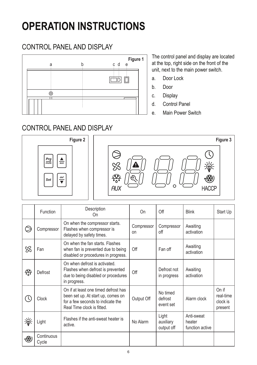### **operation instructions**

#### CONTROL PANEL AND DISPLAY



The control panel and display are located at the top, right side on the front of the unit, next to the main power switch.

- a. Door Lock
- b. Door
- c. Display
- d. Control Panel
- e. Main Power Switch

#### Control Panel AND DISPLAY





|    | Function            | Description<br>On                                                                                                                             | On               | Off                              | <b>Blink</b>                            | Start Up                                  |
|----|---------------------|-----------------------------------------------------------------------------------------------------------------------------------------------|------------------|----------------------------------|-----------------------------------------|-------------------------------------------|
|    | Compressor          | On when the compressor starts.<br>Flashes when compressor is<br>delayed by safety times.                                                      | Compressor<br>on | Compressor<br>off                | Awaiting<br>activation                  |                                           |
| ℬ  | Fan                 | On when the fan starts. Flashes<br>when fan is prevented due to being<br>disabled or procedures in progress.                                  | Off              | Fan off                          | Awaiting<br>activation                  |                                           |
| 紫  | Defrost             | On when defrost is activated.<br>Flashes when defrost is prevented<br>due to being disabled or procedures<br>in progress.                     | Off              | Defrost not<br>in progress       | Awaiting<br>activation                  |                                           |
| U. | <b>Clock</b>        | On if at least one timed defrost has<br>been set up. At start up, comes on<br>for a few seconds to indicate the<br>Real Time clock is fitted. | Output Off       | No timed<br>defrost<br>event set | Alarm clock                             | On if<br>real-time<br>clock is<br>present |
| 遂  | Light               | Flashes if the anti-sweat heater is<br>active.                                                                                                | No Alarm         | Light<br>auxiliary<br>output off | Anti-sweat<br>heater<br>function active |                                           |
| 機  | Continuous<br>Cycle |                                                                                                                                               |                  |                                  |                                         |                                           |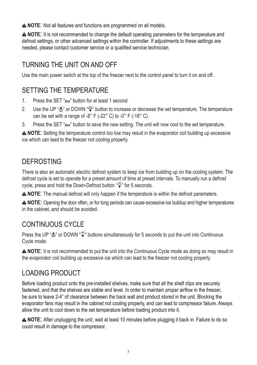**A NOTE:** Not all features and functions are programmed on all models.

**NOTE**: It is not recommended to change the default operating parameters for the temperature and defrost settings, or other advanced settings within the controller. If adjustments to these settings are needed, please contact customer service or a qualified service technician.

#### TURNING THE UNIT ON AND OFF

Use the main power switch at the top of the freezer next to the control panel to turn it on and off.

#### SETTING THE TEMPERATURE

- 1. Press the SET "*Set*" button for at least 1 second.
- 2. Use the UP "<del>▲</del>" or DOWN " $\frac{d^{def}}{•}$ " button to increase or decrease the set temperature. The temperature can be set with a range of -8° F (-22° C) to -0° F (-18° C).
- 3. Press the SET "*Set*" button to save the new setting. The unit will now cool to the set temperature.

**NOTE**: Setting the temperature control too low may result in the evaporator coil building up excessive ice which can lead to the freezer not cooling properly.

#### **DEFROSTING**

There is also an automatic electric defrost system to keep ice from building up on the cooling system. The defrost cycle is set to operate for a preset amount of time at preset intervals. To manually run a defrost cycle, press and hold the Down-Defrost button "<sup>*def*</sup>" for 5 seconds.

**NOTE**: The manual defrost will only happen if the temperature is within the defrost parameters.

**NOTE**: Opening the door often, or for long periods can cause excessive ice buildup and higher temperatures in the cabinet, and should be avoided.

### CONTINUOUS CYCLE

Press the UP " aux or DOWN "  $\overline{\bullet}$ " buttons simultaneously for 5 seconds to put the unit into Continuous Cycle mode.

**NOTE**: It is not recommended to put the unit into the Continuous Cycle mode as doing so may result in the evaporator coil building up excessive ice which can lead to the freezer not cooling properly.

#### LOADING PRODUCT

Before loading product onto the pre-installed shelves, make sure that all the shelf clips are securely fastened, and that the shelves are stable and level. In order to maintain proper airflow in the freezer, be sure to leave 2-4" of clearance between the back wall and product stored in the unit. Blocking the evaporator fans may result in the cabinet not cooling properly, and can lead to compressor failure. Always allow the unit to cool down to the set temperature before loading product into it.

**NOTE**: After unplugging the unit, wait at least 10 minutes before plugging it back in. Failure to do so could result in damage to the compressor.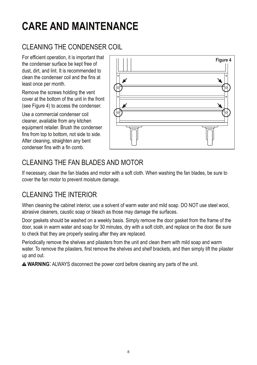## **care and Maintenance**

### CLEANING THE CONDENSER COIL

the condenser surface be kept free of dust, dirt, and lint. It is recommended to clean the condenser coil and the fins at least once per month.

Remove the screws holding the vent cover at the bottom of the unit in the front (see Figure 4) to access the condenser.

Use a commercial condenser coil cleaner, available from any kitchen equipment retailer. Brush the condenser fins from top to bottom, not side to side. After cleaning, straighten any bent condenser fins with a fin comb.



### CLEANING THE FAN BLADES AND MOTOR

If necessary, clean the fan blades and motor with a soft cloth. When washing the fan blades, be sure to cover the fan motor to prevent moisture damage.

#### CLEANING THE INTERIOR

When cleaning the cabinet interior, use a solvent of warm water and mild soap. DO NOT use steel wool, abrasive cleaners, caustic soap or bleach as those may damage the surfaces.

Door gaskets should be washed on a weekly basis. Simply remove the door gasket from the frame of the door, soak in warm water and soap for 30 minutes, dry with a soft cloth, and replace on the door. Be sure to check that they are properly sealing after they are replaced.

Periodically remove the shelves and pilasters from the unit and clean them with mild soap and warm water. To remove the pilasters, first remove the shelves and shelf brackets, and then simply lift the pilaster up and out.

**WARNING**: ALWAYS disconnect the power cord before cleaning any parts of the unit.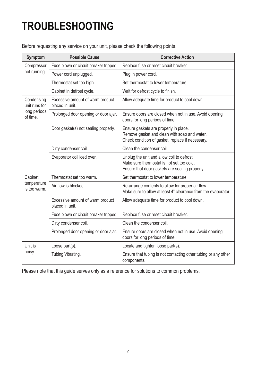## **Troubleshooting**

Before requesting any service on your unit, please check the following points.

| Symptom                     | Possible Cause                                      | <b>Corrective Action</b>                                                                                                                  |  |
|-----------------------------|-----------------------------------------------------|-------------------------------------------------------------------------------------------------------------------------------------------|--|
| Compressor                  | Fuse blown or circuit breaker tripped.              | Replace fuse or reset circuit breaker.                                                                                                    |  |
| not running.                | Power cord unplugged.                               | Plug in power cord.                                                                                                                       |  |
|                             | Thermostat set too high.                            | Set thermostat to lower temperature.                                                                                                      |  |
|                             | Cabinet in defrost cycle.                           | Wait for defrost cycle to finish.                                                                                                         |  |
| Condensing<br>unit runs for | Excessive amount of warm product<br>placed in unit. | Allow adequate time for product to cool down.                                                                                             |  |
| long periods<br>of time.    | Prolonged door opening or door ajar.                | Ensure doors are closed when not in use. Avoid opening<br>doors for long periods of time.                                                 |  |
|                             | Door gasket(s) not sealing properly.                | Ensure gaskets are properly in place.<br>Remove gasket and clean with soap and water.<br>Check condition of gasket, replace if necessary. |  |
|                             | Dirty condenser coil.                               | Clean the condenser coil.                                                                                                                 |  |
|                             | Evaporator coil iced over.                          | Unplug the unit and allow coil to defrost.<br>Make sure thermostat is not set too cold.<br>Ensure that door gaskets are sealing properly. |  |
| Cabinet                     | Thermostat set too warm.                            | Set thermostat to lower temperature.                                                                                                      |  |
| temperature<br>is too warm  | Air flow is blocked.                                | Re-arrange contents to allow for proper air flow.<br>Make sure to allow at least 4" clearance from the evaporator.                        |  |
|                             | Excessive amount of warm product<br>placed in unit. | Allow adequate time for product to cool down.                                                                                             |  |
|                             | Fuse blown or circuit breaker tripped.              | Replace fuse or reset circuit breaker.                                                                                                    |  |
|                             | Dirty condenser coil.                               | Clean the condenser coil.                                                                                                                 |  |
|                             | Prolonged door opening or door ajar.                | Ensure doors are closed when not in use. Avoid opening<br>doors for long periods of time.                                                 |  |
| Unit is                     | Loose part(s).                                      | Locate and tighten loose part(s).                                                                                                         |  |
| noisy.                      | Tubing Vibrating.                                   | Ensure that tubing is not contacting other tubing or any other<br>components.                                                             |  |

Please note that this guide serves only as a reference for solutions to common problems.